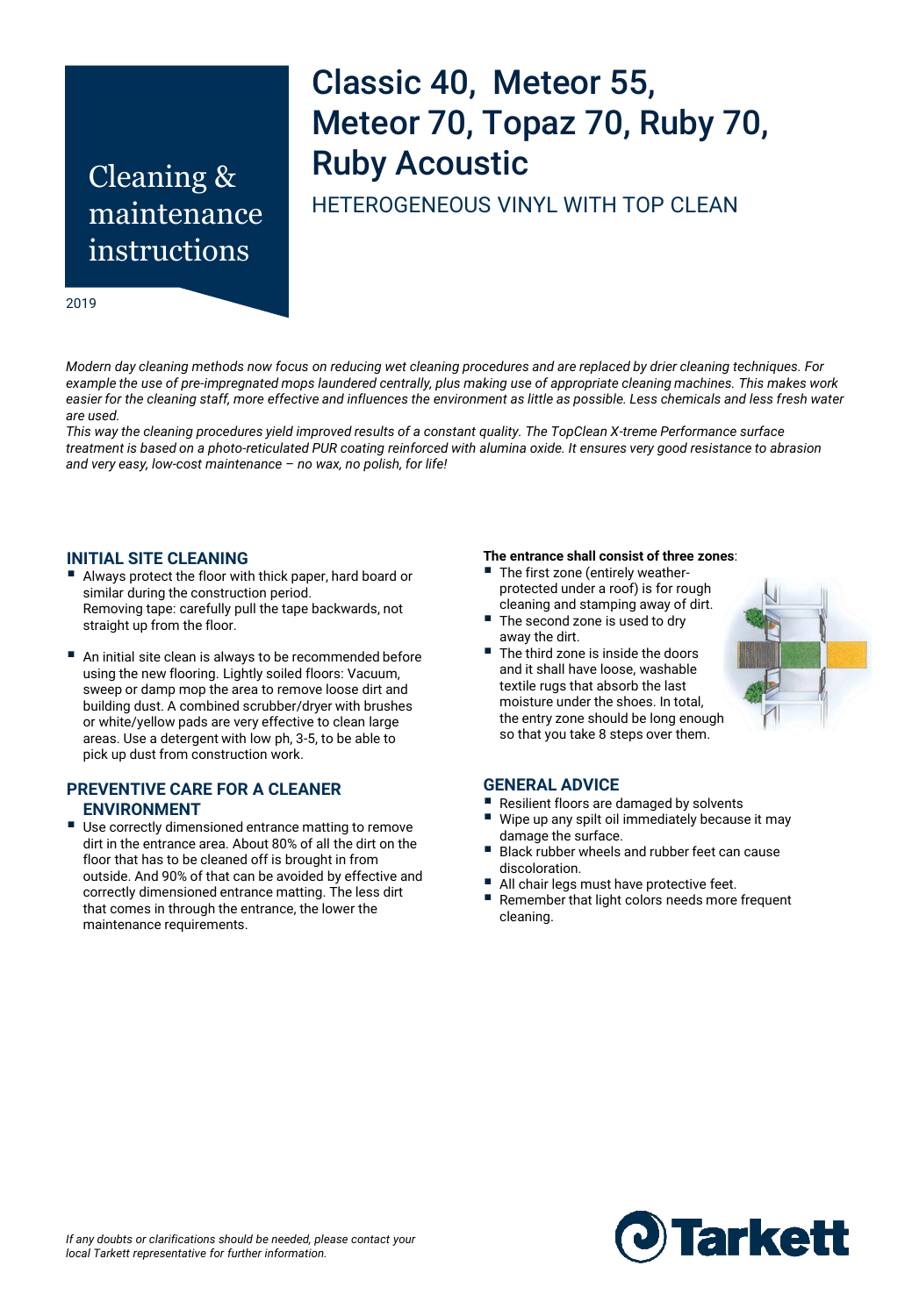# Cleaning & maintenance instructions

# Classic 40, Meteor 55, Meteor 70, Topaz 70, Ruby 70, Ruby Acoustic

HETEROGENEOUS VINYL WITH TOP CLEAN

2019

*Modern day cleaning methods now focus on reducing wet cleaning procedures and are replaced by drier cleaning techniques. For example the use of pre-impregnated mops laundered centrally, plus making use of appropriate cleaning machines. This makes work*  easier for the cleaning staff, more effective and influences the environment as little as possible. Less chemicals and less fresh water *are used.* 

*This way the cleaning procedures yield improved results of a constant quality. The TopClean X-treme Performance surface treatment is based on a photo-reticulated PUR coating reinforced with alumina oxide. It ensures very good resistance to abrasion and very easy, low-cost maintenance – no wax, no polish, for life!* 

#### **INITIAL SITE CLEANING**

- Always protect the floor with thick paper, hard board or similar during the construction period. Removing tape: carefully pull the tape backwards, not straight up from the floor.
- An initial site clean is always to be recommended before using the new flooring. Lightly soiled floors: Vacuum, sweep or damp mop the area to remove loose dirt and building dust. A combined scrubber/dryer with brushes or white/yellow pads are very effective to clean large areas. Use a detergent with low ph, 3-5, to be able to pick up dust from construction work.

## **PREVENTIVE CARE FOR A CLEANER ENVIRONMENT**

 Use correctly dimensioned entrance matting to remove dirt in the entrance area. About 80% of all the dirt on the floor that has to be cleaned off is brought in from outside. And 90% of that can be avoided by effective and correctly dimensioned entrance matting. The less dirt that comes in through the entrance, the lower the maintenance requirements.

#### **The entrance shall consist of three zones**:

- The first zone (entirely weatherprotected under a roof) is for rough cleaning and stamping away of dirt.
- The second zone is used to dry away the dirt.
- The third zone is inside the doors and it shall have loose, washable textile rugs that absorb the last moisture under the shoes. In total, the entry zone should be long enough so that you take 8 steps over them.



#### **GENERAL ADVICE**

- Resilient floors are damaged by solvents
- Wipe up any spilt oil immediately because it may damage the surface.
- Black rubber wheels and rubber feet can cause discoloration.
- All chair legs must have protective feet.
- Remember that light colors needs more frequent cleaning.